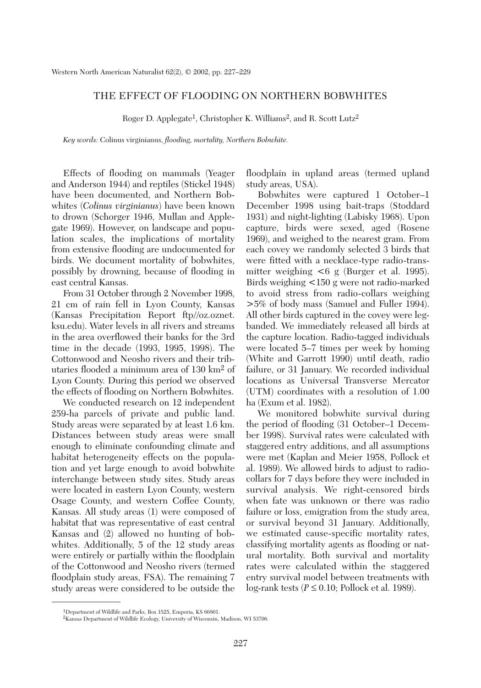## THE EFFECT OF FLOODING ON NORTHERN BOBWHITES

Roger D. Applegate<sup>1</sup>, Christopher K. Williams<sup>2</sup>, and R. Scott Lutz<sup>2</sup>

*Key words:* Colinus virginianus, *flooding, mortality, Northern Bobwhite.*

Effects of flooding on mammals (Yeager and Anderson 1944) and reptiles (Stickel 1948) have been documented, and Northern Bobwhites (*Colinus virginianus*) have been known to drown (Schorger 1946, Mullan and Applegate 1969). However, on landscape and population scales, the implications of mortality from extensive flooding are undocumented for birds. We document mortality of bobwhites, possibly by drowning, because of flooding in east central Kansas.

From 31 October through 2 November 1998, 21 cm of rain fell in Lyon County, Kansas (Kansas Precipitation Report ftp//oz.oznet. ksu.edu). Water levels in all rivers and streams in the area overflowed their banks for the 3rd time in the decade (1993, 1995, 1998). The Cottonwood and Neosho rivers and their tributaries flooded a minimum area of 130 km2 of Lyon County. During this period we observed the effects of flooding on Northern Bobwhites.

We conducted research on 12 independent 259-ha parcels of private and public land. Study areas were separated by at least 1.6 km. Distances between study areas were small enough to eliminate confounding climate and habitat heterogeneity effects on the population and yet large enough to avoid bobwhite interchange between study sites. Study areas were located in eastern Lyon County, western Osage County, and western Coffee County, Kansas. All study areas (1) were composed of habitat that was representative of east central Kansas and (2) allowed no hunting of bobwhites. Additionally, 5 of the 12 study areas were entirely or partially within the floodplain of the Cottonwood and Neosho rivers (termed floodplain study areas, FSA). The remaining 7 study areas were considered to be outside the floodplain in upland areas (termed upland study areas, USA).

Bobwhites were captured 1 October–1 December 1998 using bait-traps (Stoddard 1931) and night-lighting (Labisky 1968). Upon capture, birds were sexed, aged (Rosene 1969), and weighed to the nearest gram. From each covey we randomly selected 3 birds that were fitted with a necklace-type radio-transmitter weighing <6 g (Burger et al. 1995). Birds weighing <150 g were not radio-marked to avoid stress from radio-collars weighing >5% of body mass (Samuel and Fuller 1994). All other birds captured in the covey were legbanded. We immediately released all birds at the capture location. Radio-tagged individuals were located 5–7 times per week by homing (White and Garrott 1990) until death, radio failure, or 31 January. We recorded individual locations as Universal Transverse Mercator (UTM) coordinates with a resolution of 1.00 ha (Exum et al. 1982).

We monitored bobwhite survival during the period of flooding (31 October–1 December 1998). Survival rates were calculated with staggered entry additions, and all assumptions were met (Kaplan and Meier 1958, Pollock et al. 1989). We allowed birds to adjust to radiocollars for 7 days before they were included in survival analysis. We right-censored birds when fate was unknown or there was radio failure or loss, emigration from the study area, or survival beyond 31 January. Additionally, we estimated cause-specific mortality rates, classifying mortality agents as flooding or natural mortality. Both survival and mortality rates were calculated within the staggered entry survival model between treatments with log-rank tests (*P* ≤ 0.10; Pollock et al. 1989).

<sup>1</sup>Department of Wildlife and Parks, Box 1525, Emporia, KS 66801.

<sup>2</sup>Kansas Department of Wildlife Ecology, University of Wisconsin, Madison, WI 53706.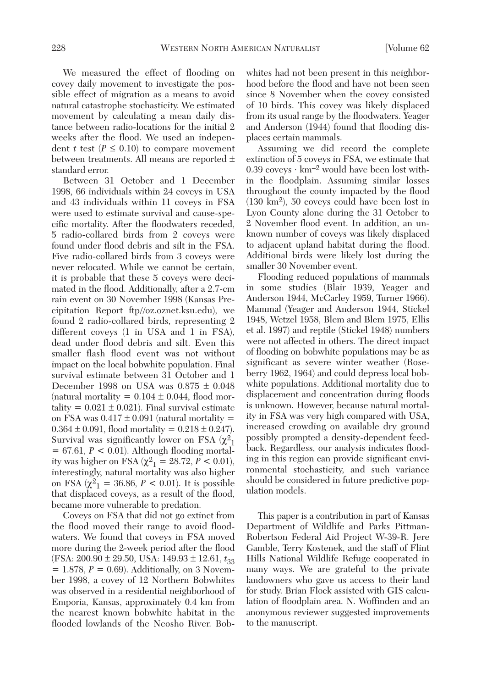We measured the effect of flooding on covey daily movement to investigate the possible effect of migration as a means to avoid natural catastrophe stochasticity. We estimated movement by calculating a mean daily distance between radio-locations for the initial 2 weeks after the flood. We used an independent *t* test  $(P \leq 0.10)$  to compare movement between treatments. All means are reported ± standard error.

Between 31 October and 1 December 1998, 66 individuals within 24 coveys in USA and 43 individuals within 11 coveys in FSA were used to estimate survival and cause-specific mortality. After the floodwaters receded, 5 radio-collared birds from 2 coveys were found under flood debris and silt in the FSA. Five radio-collared birds from 3 coveys were never relocated. While we cannot be certain, it is probable that these 5 coveys were decimated in the flood. Additionally, after a 2.7-cm rain event on 30 November 1998 (Kansas Precipitation Report ftp//oz.oznet.ksu.edu), we found 2 radio-collared birds, representing 2 different coveys (1 in USA and 1 in FSA), dead under flood debris and silt. Even this smaller flash flood event was not without impact on the local bobwhite population. Final survival estimate between 31 October and 1 December 1998 on USA was 0.875 ± 0.048 (natural mortality =  $0.104 \pm 0.044$ , flood mortality =  $0.021 \pm 0.021$ ). Final survival estimate on FSA was  $0.417 \pm 0.091$  (natural mortality =  $0.364 \pm 0.091$ , flood mortality =  $0.218 \pm 0.247$ ). Survival was significantly lower on FSA  $(\chi^2)$  $= 67.61, P < 0.01$ . Although flooding mortality was higher on FSA ( $\chi^2$ <sub>1</sub> = 28.72, *P* < 0.01), interestingly, natural mortality was also higher on FSA  $(\chi^2)$  = 36.86, *P* < 0.01). It is possible that displaced coveys, as a result of the flood, became more vulnerable to predation.

Coveys on FSA that did not go extinct from the flood moved their range to avoid floodwaters. We found that coveys in FSA moved more during the 2-week period after the flood  $(FSA: 200.90 \pm 29.50, USA: 149.93 \pm 12.61, t_{33})$  $= 1.878, P = 0.69$ . Additionally, on 3 November 1998, a covey of 12 Northern Bobwhites was observed in a residential neighborhood of Emporia, Kansas, approximately 0.4 km from the nearest known bobwhite habitat in the flooded lowlands of the Neosho River. Bob-

whites had not been present in this neighborhood before the flood and have not been seen since 8 November when the covey consisted of 10 birds. This covey was likely displaced from its usual range by the floodwaters. Yeager and Anderson (1944) found that flooding displaces certain mammals.

Assuming we did record the complete extinction of 5 coveys in FSA, we estimate that 0.39 coveys  $\cdot \text{ km}^{-2}$  would have been lost within the floodplain. Assuming similar losses throughout the county impacted by the flood (130 km2), 50 coveys could have been lost in Lyon County alone during the 31 October to 2 November flood event. In addition, an unknown number of coveys was likely displaced to adjacent upland habitat during the flood. Additional birds were likely lost during the smaller 30 November event.

Flooding reduced populations of mammals in some studies (Blair 1939, Yeager and Anderson 1944, McCarley 1959, Turner 1966). Mammal (Yeager and Anderson 1944, Stickel 1948, Wetzel 1958, Blem and Blem 1975, Ellis et al. 1997) and reptile (Stickel 1948) numbers were not affected in others. The direct impact of flooding on bobwhite populations may be as significant as severe winter weather (Roseberry 1962, 1964) and could depress local bobwhite populations. Additional mortality due to displacement and concentration during floods is unknown. However, because natural mortality in FSA was very high compared with USA, increased crowding on available dry ground possibly prompted a density-dependent feedback. Regardless, our analysis indicates flooding in this region can provide significant environmental stochasticity, and such variance should be considered in future predictive population models.

This paper is a contribution in part of Kansas Department of Wildlife and Parks Pittman-Robertson Federal Aid Project W-39-R. Jere Gamble, Terry Kostenek, and the staff of Flint Hills National Wildlife Refuge cooperated in many ways. We are grateful to the private landowners who gave us access to their land for study. Brian Flock assisted with GIS calculation of floodplain area. N. Woffinden and an anonymous reviewer suggested improvements to the manuscript.